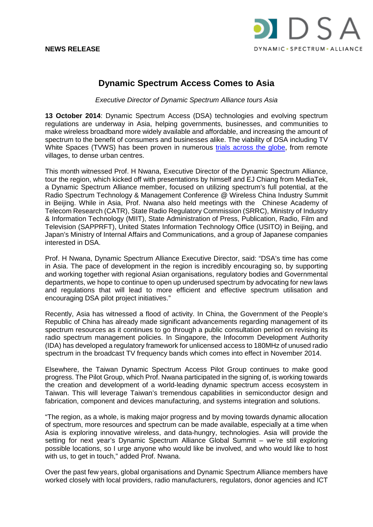

## **Dynamic Spectrum Access Comes to Asia**

*Executive Director of Dynamic Spectrum Alliance tours Asia*

**13 October 2014**: Dynamic Spectrum Access (DSA) technologies and evolving spectrum regulations are underway in Asia, helping governments, businesses, and communities to make wireless broadband more widely available and affordable, and increasing the amount of spectrum to the benefit of consumers and businesses alike. The viability of DSA including TV White Spaces (TVWS) has been proven in numerous [trials across the globe,](http://www.dynamicspectrumalliance.org/pilots.html) from remote villages, to dense urban centres.

This month witnessed Prof. H Nwana, Executive Director of the Dynamic Spectrum Alliance, tour the region, which kicked off with presentations by himself and EJ Chiang from MediaTek, a Dynamic Spectrum Alliance member, focused on utilizing spectrum's full potential, at the Radio Spectrum Technology & Management Conference @ Wireless China Industry Summit in Beijing. While in Asia, Prof. Nwana also held meetings with the Chinese Academy of Telecom Research (CATR), State Radio Regulatory Commission (SRRC), Ministry of Industry & Information Technology (MIIT), State Administration of Press, Publication, Radio, Film and Television (SAPPRFT), United States Information Technology Office (USITO) in Beijing, and Japan's Ministry of Internal Affairs and Communications, and a group of Japanese companies interested in DSA.

Prof. H Nwana, Dynamic Spectrum Alliance Executive Director, said: "DSA's time has come in Asia. The pace of development in the region is incredibly encouraging so, by supporting and working together with regional Asian organisations, regulatory bodies and Governmental departments, we hope to continue to open up underused spectrum by advocating for new laws and regulations that will lead to more efficient and effective spectrum utilisation and encouraging DSA pilot project initiatives."

Recently, Asia has witnessed a flood of activity. In China, the Government of the People's Republic of China has already made significant advancements regarding management of its spectrum resources as it continues to go through a public consultation period on revising its radio spectrum management policies. In Singapore, the Infocomm Development Authority (IDA) has developed a regulatory framework for unlicensed access to 180MHz of unused radio spectrum in the broadcast TV frequency bands which comes into effect in November 2014.

Elsewhere, the Taiwan Dynamic Spectrum Access Pilot Group continues to make good progress. The Pilot Group, which Prof. Nwana participated in the signing of, is working towards the creation and development of a world-leading dynamic spectrum access ecosystem in Taiwan. This will leverage Taiwan's tremendous capabilities in semiconductor design and fabrication, component and devices manufacturing, and systems integration and solutions.

"The region, as a whole, is making major progress and by moving towards dynamic allocation of spectrum, more resources and spectrum can be made available, especially at a time when Asia is exploring innovative wireless, and data-hungry, technologies. Asia will provide the setting for next year's Dynamic Spectrum Alliance Global Summit – we're still exploring possible locations, so I urge anyone who would like be involved, and who would like to host with us, to get in touch," added Prof. Nwana.

Over the past few years, global organisations and Dynamic Spectrum Alliance members have worked closely with local providers, radio manufacturers, regulators, donor agencies and ICT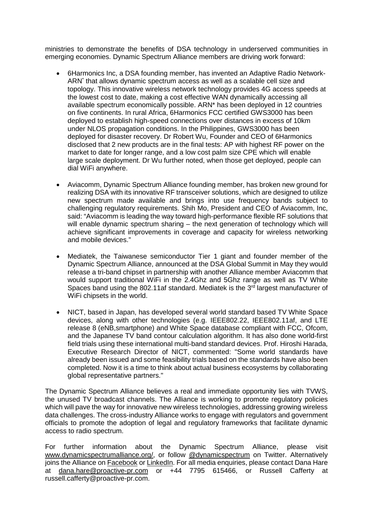ministries to demonstrate the benefits of DSA technology in underserved communities in emerging economies. Dynamic Spectrum Alliance members are driving work forward:

- 6Harmonics Inc, a DSA founding member, has invented an Adaptive Radio Network-ARN\* that allows dynamic spectrum access as well as a scalable cell size and topology. This innovative wireless network technology provides 4G access speeds at the lowest cost to date, making a cost effective WAN dynamically accessing all available spectrum economically possible. ARN\* has been deployed in 12 countries on five continents. In rural Africa, 6Harmonics FCC certified GWS3000 has been deployed to establish high-speed connections over distances in excess of 10km under NLOS propagation conditions. In the Philippines, GWS3000 has been deployed for disaster recovery. Dr Robert Wu, Founder and CEO of 6Harmonics disclosed that 2 new products are in the final tests: AP with highest RF power on the market to date for longer range, and a low cost palm size CPE which will enable large scale deployment. Dr Wu further noted, when those get deployed, people can dial WiFi anywhere.
- Aviacomm, Dynamic Spectrum Alliance founding member, has broken new ground for realizing DSA with its innovative RF transceiver solutions, which are designed to utilize new spectrum made available and brings into use frequency bands subject to challenging regulatory requirements. Shih Mo, President and CEO of Aviacomm, Inc, said: "Aviacomm is leading the way toward high-performance flexible RF solutions that will enable dynamic spectrum sharing – the next generation of technology which will achieve significant improvements in coverage and capacity for wireless networking and mobile devices."
- Mediatek, the Taiwanese semiconductor Tier 1 giant and founder member of the Dynamic Spectrum Alliance, announced at the DSA Global Summit in May they would release a tri-band chipset in partnership with another Alliance member Aviacomm that would support traditional WiFi in the 2.4Ghz and 5Ghz range as well as TV White Spaces band using the 802.11af standard. Mediatek is the 3<sup>rd</sup> largest manufacturer of WiFi chipsets in the world.
- NICT, based in Japan, has developed several world standard based TV White Space devices, along with other technologies (e.g. IEEE802.22, IEEE802.11af, and LTE release 8 (eNB,smartphone) and White Space database compliant with FCC, Ofcom, and the Japanese TV band contour calculation algorithm. It has also done world-first field trials using these international multi-band standard devices. Prof. Hiroshi Harada, Executive Research Director of NICT, commented: "Some world standards have already been issued and some feasibility trials based on the standards have also been completed. Now it is a time to think about actual business ecosystems by collaborating global representative partners."

The Dynamic Spectrum Alliance believes a real and immediate opportunity lies with TVWS, the unused TV broadcast channels. The Alliance is working to promote regulatory policies which will pave the way for innovative new wireless technologies, addressing growing wireless data challenges. The cross-industry Alliance works to engage with regulators and government officials to promote the adoption of legal and regulatory frameworks that facilitate dynamic access to radio spectrum.

For further information about the Dynamic Spectrum Alliance, please visit [www.dynamicspectrumalliance.org/,](http://www.dynamicspectrumalliance.org/) or follow [@dynamicspectrum](https://twitter.com/DynamicSpectrum) on Twitter. Alternatively joins the Alliance on [Facebook](https://www.facebook.com/DynamicSpectrumAlliance) or [LinkedIn.](https://www.linkedin.com/groups/Dynamic-Spectrum-Alliance-DSA-6654268) For all media enquiries, please contact Dana Hare at [dana.hare@proactive-pr.com](mailto:dana.hare@proactive-pr.com) or +44 7795 615466, or Russell Cafferty at russell.cafferty@proactive-pr.com.